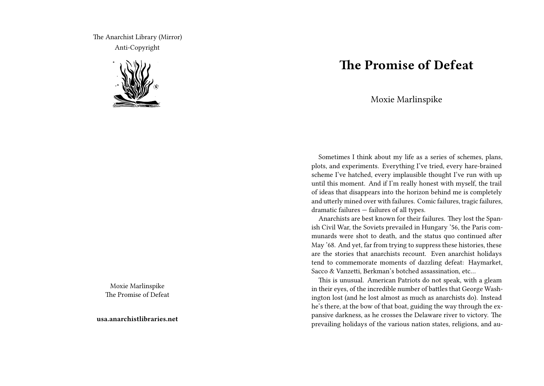The Anarchist Library (Mirror) Anti-Copyright



Moxie Marlinspike The Promise of Defeat

**usa.anarchistlibraries.net**

## **The Promise of Defeat**

Moxie Marlinspike

Sometimes I think about my life as a series of schemes, plans, plots, and experiments. Everything I've tried, every hare-brained scheme I've hatched, every implausible thought I've run with up until this moment. And if I'm really honest with myself, the trail of ideas that disappears into the horizon behind me is completely and utterly mined over with failures. Comic failures, tragic failures, dramatic failures — failures of all types.

Anarchists are best known for their failures. They lost the Spanish Civil War, the Soviets prevailed in Hungary '56, the Paris communards were shot to death, and the status quo continued after May '68. And yet, far from trying to suppress these histories, these are the stories that anarchists recount. Even anarchist holidays tend to commemorate moments of dazzling defeat: Haymarket, Sacco & Vanzetti, Berkman's botched assassination, etc…

This is unusual. American Patriots do not speak, with a gleam in their eyes, of the incredible number of battles that George Washington lost (and he lost almost as much as anarchists do). Instead he's there, at the bow of that boat, guiding the way through the expansive darkness, as he crosses the Delaware river to victory. The prevailing holidays of the various nation states, religions, and au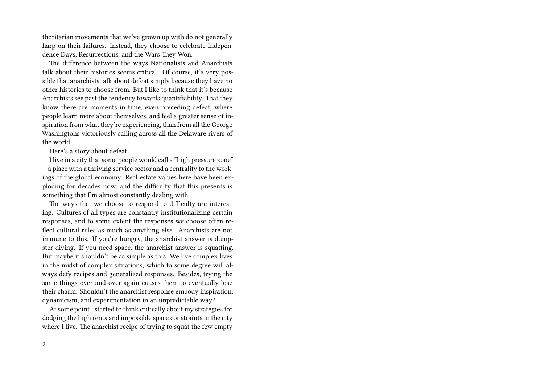thoritarian movements that we've grown up with do not generally harp on their failures. Instead, they choose to celebrate Independence Days, Resurrections, and the Wars They Won.

The difference between the ways Nationalists and Anarchists talk about their histories seems critical. Of course, it's very possible that anarchists talk about defeat simply because they have no other histories to choose from. But I like to think that it's because Anarchists see past the tendency towards quantifiability. That they know there are moments in time, even preceding defeat, where people learn more about themselves, and feel a greater sense of inspiration from what they're experiencing, than from all the George Washingtons victoriously sailing across all the Delaware rivers of the world.

Here's a story about defeat.

I live in a city that some people would call a "high pressure zone" — a place with a thriving service sector and a centrality to the workings of the global economy. Real estate values here have been exploding for decades now, and the difficulty that this presents is something that I'm almost constantly dealing with.

The ways that we choose to respond to difficulty are interesting. Cultures of all types are constantly institutionalizing certain responses, and to some extent the responses we choose often reflect cultural rules as much as anything else. Anarchists are not immune to this. If you're hungry, the anarchist answer is dumpster diving. If you need space, the anarchist answer is squatting. But maybe it shouldn't be as simple as this. We live complex lives in the midst of complex situations, which to some degree will always defy recipes and generalized responses. Besides, trying the same things over and over again causes them to eventually lose their charm. Shouldn't the anarchist response embody inspiration, dynamicism, and experimentation in an unpredictable way?

At some point I started to think critically about my strategies for dodging the high rents and impossible space constraints in the city where I live. The anarchist recipe of trying to squat the few empty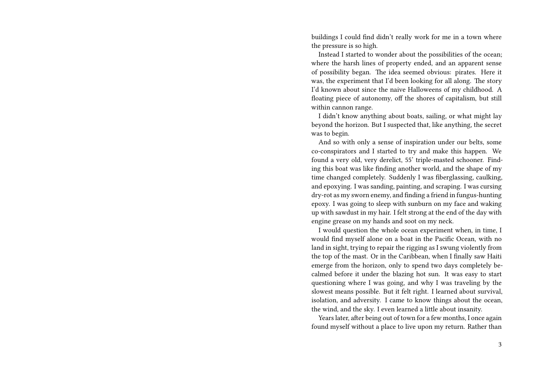buildings I could find didn't really work for me in a town where the pressure is so high.

Instead I started to wonder about the possibilities of the ocean; where the harsh lines of property ended, and an apparent sense of possibility began. The idea seemed obvious: pirates. Here it was, the experiment that I'd been looking for all along. The story I'd known about since the naive Halloweens of my childhood. A floating piece of autonomy, off the shores of capitalism, but still within cannon range.

I didn't know anything about boats, sailing, or what might lay beyond the horizon. But I suspected that, like anything, the secret was to begin.

And so with only a sense of inspiration under our belts, some co-conspirators and I started to try and make this happen. We found a very old, very derelict, 55' triple-masted schooner. Finding this boat was like finding another world, and the shape of my time changed completely. Suddenly I was fiberglassing, caulking, and epoxying. I was sanding, painting, and scraping. I was cursing dry-rot as my sworn enemy, and finding a friend in fungus-hunting epoxy. I was going to sleep with sunburn on my face and waking up with sawdust in my hair. I felt strong at the end of the day with engine grease on my hands and soot on my neck.

I would question the whole ocean experiment when, in time, I would find myself alone on a boat in the Pacific Ocean, with no land in sight, trying to repair the rigging as I swung violently from the top of the mast. Or in the Caribbean, when I finally saw Haiti emerge from the horizon, only to spend two days completely becalmed before it under the blazing hot sun. It was easy to start questioning where I was going, and why I was traveling by the slowest means possible. But it felt right. I learned about survival, isolation, and adversity. I came to know things about the ocean, the wind, and the sky. I even learned a little about insanity.

Years later, after being out of town for a few months, I once again found myself without a place to live upon my return. Rather than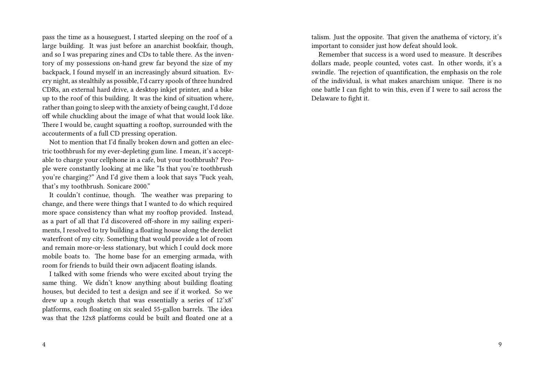pass the time as a houseguest, I started sleeping on the roof of a large building. It was just before an anarchist bookfair, though, and so I was preparing zines and CDs to table there. As the inventory of my possessions on-hand grew far beyond the size of my backpack, I found myself in an increasingly absurd situation. Every night, as stealthily as possible, I'd carry spools of three hundred CDRs, an external hard drive, a desktop inkjet printer, and a bike up to the roof of this building. It was the kind of situation where, rather than going to sleep with the anxiety of being caught, I'd doze off while chuckling about the image of what that would look like. There I would be, caught squatting a rooftop, surrounded with the accouterments of a full CD pressing operation.

Not to mention that I'd finally broken down and gotten an electric toothbrush for my ever-depleting gum line. I mean, it's acceptable to charge your cellphone in a cafe, but your toothbrush? People were constantly looking at me like "Is that you're toothbrush you're charging?" And I'd give them a look that says "Fuck yeah, that's my toothbrush. Sonicare 2000."

It couldn't continue, though. The weather was preparing to change, and there were things that I wanted to do which required more space consistency than what my rooftop provided. Instead, as a part of all that I'd discovered off-shore in my sailing experiments, I resolved to try building a floating house along the derelict waterfront of my city. Something that would provide a lot of room and remain more-or-less stationary, but which I could dock more mobile boats to. The home base for an emerging armada, with room for friends to build their own adjacent floating islands.

I talked with some friends who were excited about trying the same thing. We didn't know anything about building floating houses, but decided to test a design and see if it worked. So we drew up a rough sketch that was essentially a series of 12'x8' platforms, each floating on six sealed 55-gallon barrels. The idea was that the 12x8 platforms could be built and floated one at a

4

talism. Just the opposite. That given the anathema of victory, it's important to consider just how defeat should look.

Remember that success is a word used to measure. It describes dollars made, people counted, votes cast. In other words, it's a swindle. The rejection of quantification, the emphasis on the role of the individual, is what makes anarchism unique. There is no one battle I can fight to win this, even if I were to sail across the Delaware to fight it.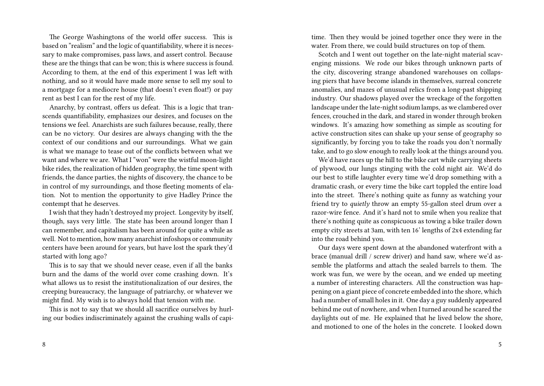The George Washingtons of the world offer success. This is based on "realism" and the logic of quantifiability, where it is necessary to make compromises, pass laws, and assert control. Because these are the things that can be won; this is where success is found. According to them, at the end of this experiment I was left with nothing, and so it would have made more sense to sell my soul to a mortgage for a mediocre house (that doesn't even float!) or pay rent as best I can for the rest of my life.

Anarchy, by contrast, offers us defeat. This is a logic that transcends quantifiability, emphasizes our desires, and focuses on the tensions we feel. Anarchists are such failures because, really, there can be no victory. Our desires are always changing with the the context of our conditions and our surroundings. What we gain is what we manage to tease out of the conflicts between what we want and where we are. What I "won" were the wistful moon-light bike rides, the realization of hidden geography, the time spent with friends, the dance parties, the nights of discovery, the chance to be in control of my surroundings, and those fleeting moments of elation. Not to mention the opportunity to give Hadley Prince the contempt that he deserves.

I wish that they hadn't destroyed my project. Longevity by itself, though, says very little. The state has been around longer than I can remember, and capitalism has been around for quite a while as well. Not to mention, how many anarchist infoshops or community centers have been around for years, but have lost the spark they'd started with long ago?

This is to say that we should never cease, even if all the banks burn and the dams of the world over come crashing down. It's what allows us to resist the institutionalization of our desires, the creeping bureaucracy, the language of patriarchy, or whatever we might find. My wish is to always hold that tension with me.

This is not to say that we should all sacrifice ourselves by hurling our bodies indiscriminately against the crushing walls of capi-

time. Then they would be joined together once they were in the water. From there, we could build structures on top of them.

Scotch and I went out together on the late-night material scavenging missions. We rode our bikes through unknown parts of the city, discovering strange abandoned warehouses on collapsing piers that have become islands in themselves, surreal concrete anomalies, and mazes of unusual relics from a long-past shipping industry. Our shadows played over the wreckage of the forgotten landscape under the late-night sodium lamps, as we clambered over fences, crouched in the dark, and stared in wonder through broken windows. It's amazing how something as simple as scouting for active construction sites can shake up your sense of geography so significantly, by forcing you to take the roads you don't normally take, and to go slow enough to really look at the things around you.

We'd have races up the hill to the bike cart while carrying sheets of plywood, our lungs stinging with the cold night air. We'd do our best to stifle laughter every time we'd drop something with a dramatic crash, or every time the bike cart toppled the entire load into the street. There's nothing quite as funny as watching your friend try to *quietly* throw an empty 55-gallon steel drum over a razor-wire fence. And it's hard not to smile when you realize that there's nothing quite as conspicuous as towing a bike trailer down empty city streets at 3am, with ten 16' lengths of 2x4 extending far into the road behind you.

Our days were spent down at the abandoned waterfront with a brace (manual drill / screw driver) and hand saw, where we'd assemble the platforms and attach the sealed barrels to them. The work was fun, we were by the ocean, and we ended up meeting a number of interesting characters. All the construction was happening on a giant piece of concrete embedded into the shore, which had a number of small holes in it. One day a guy suddenly appeared behind me out of nowhere, and when I turned around he scared the daylights out of me. He explained that he lived below the shore, and motioned to one of the holes in the concrete. I looked down